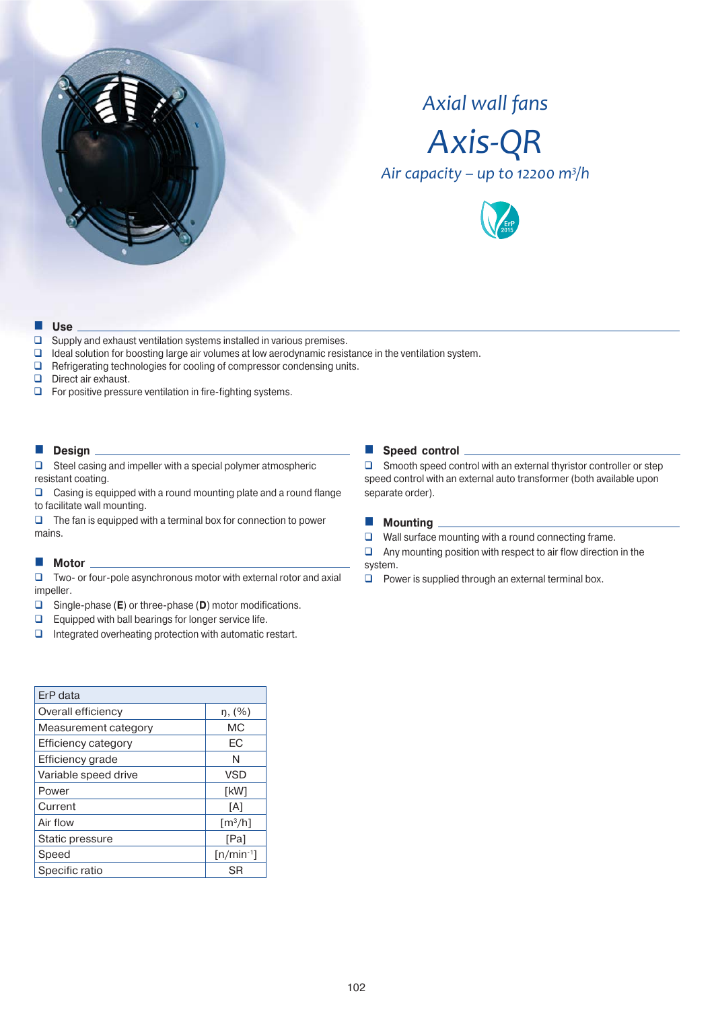

# *Axial wall fans*



*Air capacity – up to 12200 m<sup>3</sup>/h* 



#### **Use**

- $\square$  Supply and exhaust ventilation systems installed in various premises.
- $\Box$  Ideal solution for boosting large air volumes at low aerodynamic resistance in the ventilation system.
- $\Box$  Refrigerating technologies for cooling of compressor condensing units.
- Direct air exhaust.
- $\Box$  For positive pressure ventilation in fire-fighting systems.

#### **Design**

 $\Box$  Steel casing and impeller with a special polymer atmospheric resistant coating.

 $\Box$  Casing is equipped with a round mounting plate and a round flange to facilitate wall mounting.

 $\Box$  The fan is equipped with a terminal box for connection to power mains.

#### **Motor**

 Two- or four-pole asynchronous motor with external rotor and axial impeller.

- Single-phase (**E**) or three-phase (**D**) motor modifications.
- $\Box$  Equipped with ball bearings for longer service life.
- $\Box$  Integrated overheating protection with automatic restart.

#### **Speed control**

 $\Box$  Smooth speed control with an external thyristor controller or step speed control with an external auto transformer (both available upon separate order).

#### **Mounting**

 $\Box$  Wall surface mounting with a round connecting frame.

 $\Box$  Any mounting position with respect to air flow direction in the system.

 $\Box$  Power is supplied through an external terminal box.

| ErP data                   |                                        |
|----------------------------|----------------------------------------|
| Overall efficiency         | ŋ, (%)                                 |
| Measurement category       | МC                                     |
| <b>Efficiency category</b> | EС                                     |
| Efficiency grade           | N                                      |
| Variable speed drive       | <b>VSD</b>                             |
| Power                      | [kW]                                   |
| Current                    | [A]                                    |
| Air flow                   | $\left[\mathrm{m}^3/\mathrm{h}\right]$ |
| Static pressure            | [Pa]                                   |
| Speed                      | $[n/min^{-1}]$                         |
| Specific ratio             | SR                                     |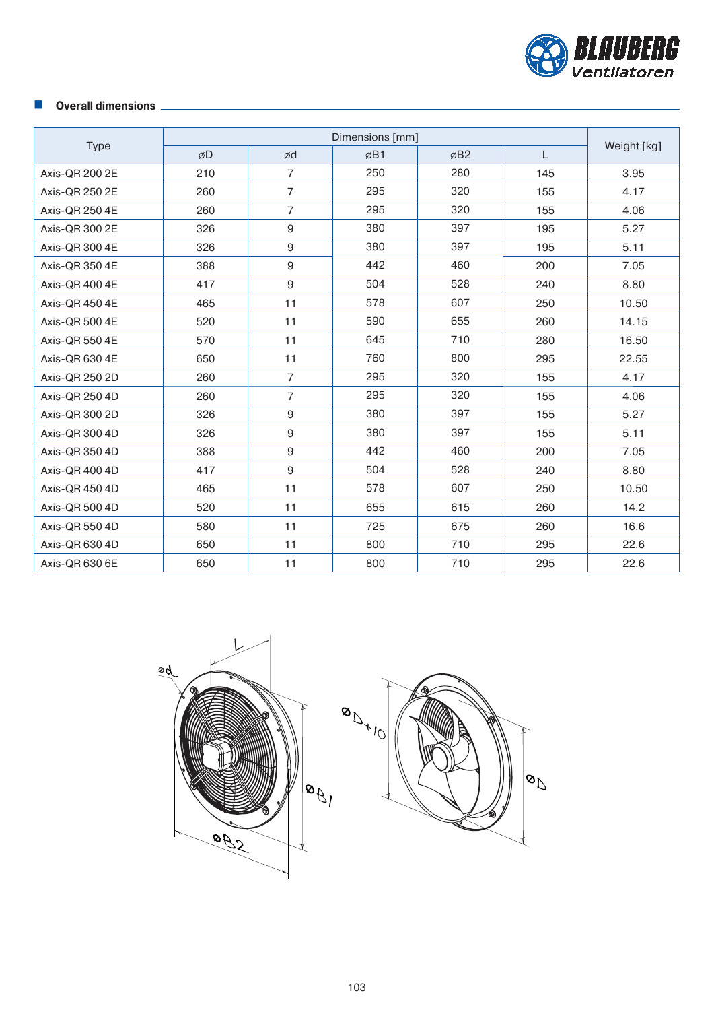

## **Overall dimensions**

| <b>Type</b>    | ØD  | ød             | ØB1 | ØB <sub>2</sub> | L   | Weight [kg] |
|----------------|-----|----------------|-----|-----------------|-----|-------------|
| Axis-OR 200 2E | 210 | $\overline{7}$ | 250 | 280             | 145 | 3.95        |
| Axis-OR 250 2E | 260 | $\overline{7}$ | 295 | 320             | 155 | 4.17        |
| Axis-OR 250 4E | 260 | $\overline{7}$ | 295 | 320             | 155 | 4.06        |
| Axis-OR 300 2E | 326 | 9              | 380 | 397             | 195 | 5.27        |
| Axis-OR 300 4E | 326 | 9              | 380 | 397             | 195 | 5.11        |
| Axis-QR 350 4E | 388 | 9              | 442 | 460             | 200 | 7.05        |
| Axis-QR 400 4E | 417 | 9              | 504 | 528             | 240 | 8.80        |
| Axis-QR 450 4E | 465 | 11             | 578 | 607             | 250 | 10.50       |
| Axis-QR 500 4E | 520 | 11             | 590 | 655             | 260 | 14.15       |
| Axis-QR 550 4E | 570 | 11             | 645 | 710             | 280 | 16.50       |
| Axis-OR 630 4E | 650 | 11             | 760 | 800             | 295 | 22.55       |
| Axis-OR 250 2D | 260 | $\overline{7}$ | 295 | 320             | 155 | 4.17        |
| Axis-QR 250 4D | 260 | $\overline{7}$ | 295 | 320             | 155 | 4.06        |
| Axis-QR 300 2D | 326 | $9\,$          | 380 | 397             | 155 | 5.27        |
| Axis-QR 300 4D | 326 | $9\,$          | 380 | 397             | 155 | 5.11        |
| Axis-QR 350 4D | 388 | 9              | 442 | 460             | 200 | 7.05        |
| Axis-OR 400 4D | 417 | $9\,$          | 504 | 528             | 240 | 8.80        |
| Axis-OR 450 4D | 465 | 11             | 578 | 607             | 250 | 10.50       |
| Axis-QR 500 4D | 520 | 11             | 655 | 615             | 260 | 14.2        |
| Axis-OR 550 4D | 580 | 11             | 725 | 675             | 260 | 16.6        |
| Axis-QR 630 4D | 650 | 11             | 800 | 710             | 295 | 22.6        |
| Axis-QR 630 6E | 650 | 11             | 800 | 710             | 295 | 22.6        |

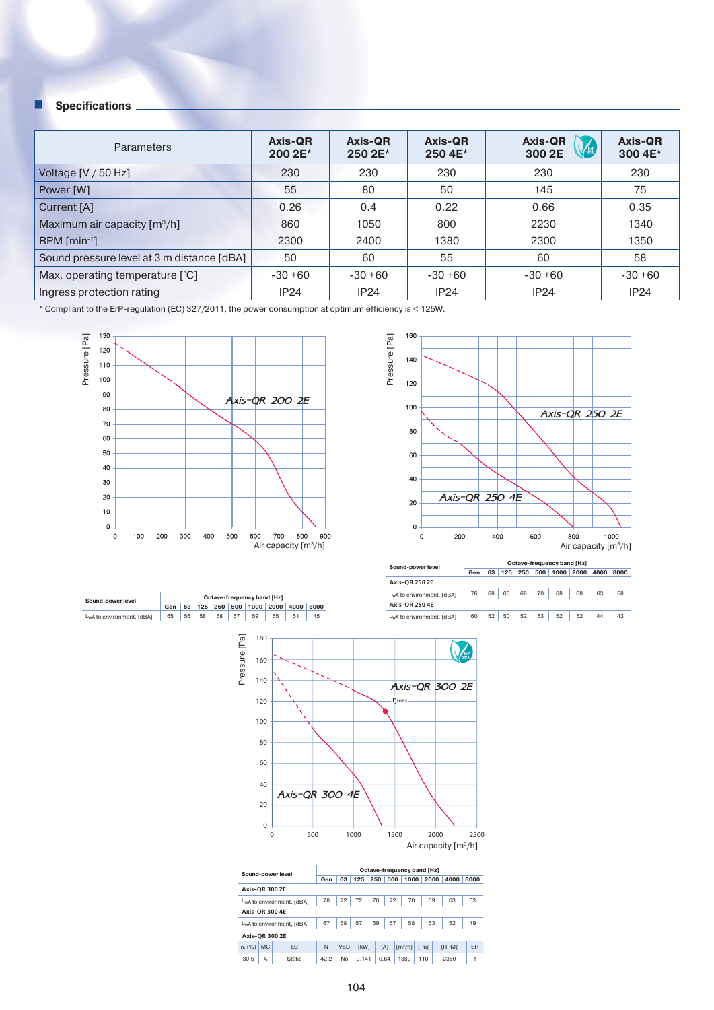| <b>Parameters</b>                          | Axis-QR<br>200 2E* | Axis-QR<br>250 2E* | <b>Axis-QR</b><br>250 4E* | <b>Axis-QR</b><br><b>EFP</b><br>300 2E | <b>Axis-QR</b><br>300 4E* |
|--------------------------------------------|--------------------|--------------------|---------------------------|----------------------------------------|---------------------------|
| Voltage $[V / 50 Hz]$                      | 230                | 230                | 230                       | 230                                    | 230                       |
| Power [W]                                  | 55                 | 80                 | 50                        | 145                                    | 75                        |
| Current [A]                                | 0.26               | 0.4                | 0.22                      | 0.66                                   | 0.35                      |
| Maximum air capacity $[m^3/h]$             | 860                | 1050               | 800                       | 2230                                   | 1340                      |
| $RPM$ [min <sup>-1</sup> ]                 | 2300               | 2400               | 1380                      | 2300                                   | 1350                      |
| Sound pressure level at 3 m distance [dBA] | 50                 | 60                 | 55                        | 60                                     | 58                        |
| Max. operating temperature [°C]            | $-30+60$           | $-30+60$           | $-30+60$                  | $-30+60$                               | $-30+60$                  |
| Ingress protection rating                  | <b>IP24</b>        | IP24               | IP24                      | <b>IP24</b>                            | IP24                      |

\* Compliant to the ErP-regulation (EC) 327/2011, the power consumption at optimum efficiency is < 125W.



**Sound-power level**<br> **Gen 63 125 250 500 1000 2000 4000 8000**<br>
LwA to environment, [dBA] 65 56 58 58 57 59 55 51 45



| Sound-power level         | <b>Octave-frequency band [Hz]</b> |    |     |     |     |      |      |      |      |  |  |
|---------------------------|-----------------------------------|----|-----|-----|-----|------|------|------|------|--|--|
|                           | Gen                               | 63 | 125 | 250 | 500 | 1000 | 2000 | 4000 | 8000 |  |  |
| <b>Axis-OR 250 2E</b>     |                                   |    |     |     |     |      |      |      |      |  |  |
| LwA to environment, [dBA] | 76                                | 68 | 66  | 68  | 70  | 68   | 68   | 63   | 58   |  |  |
| <b>Axis-OR 250 4E</b>     |                                   |    |     |     |     |      |      |      |      |  |  |
| LwA to environment, [dBA] | 60                                | 52 | 50  | 52  | 53  | 52   | 52   | 44   | 43   |  |  |



|                       |                       | Sound-power level                      | Octave-frequency band [Hz] |            |             |     |      |                       |      |      |              |           |  |
|-----------------------|-----------------------|----------------------------------------|----------------------------|------------|-------------|-----|------|-----------------------|------|------|--------------|-----------|--|
|                       |                       |                                        | Gen                        | 63         | 125         | 250 | 500  | 1000                  |      | 2000 | 4000         | 8000      |  |
| <b>Axis-OR 300 2E</b> |                       |                                        |                            |            |             |     |      |                       |      |      |              |           |  |
|                       |                       | L <sub>w</sub> A to environment, [dBA] | 78                         | 72         | 72          | 70  | 72   | 70                    |      | 69   | 63           | 63        |  |
|                       | <b>Axis-OR 300 4E</b> |                                        |                            |            |             |     |      |                       |      |      |              |           |  |
|                       |                       | L <sub>w</sub> A to environment, [dBA] | 67                         | 58         | 57          | 59  | 57   | 58                    |      | 53   | 52           | 49        |  |
| <b>Axis-OR 300 2E</b> |                       |                                        |                            |            |             |     |      |                       |      |      |              |           |  |
| n. (%)                | <b>MC</b>             | EC                                     | N                          | <b>VSD</b> | <b>TkW1</b> |     | [A]  | $\lceil m^3/h \rceil$ | [Pa] |      | <b>FRPM1</b> | <b>SR</b> |  |
| 30.5                  | A                     | <b>Static</b>                          | 42.2                       | No         | 0.141       |     | 0.64 | 1380                  | 110  |      | 2350         |           |  |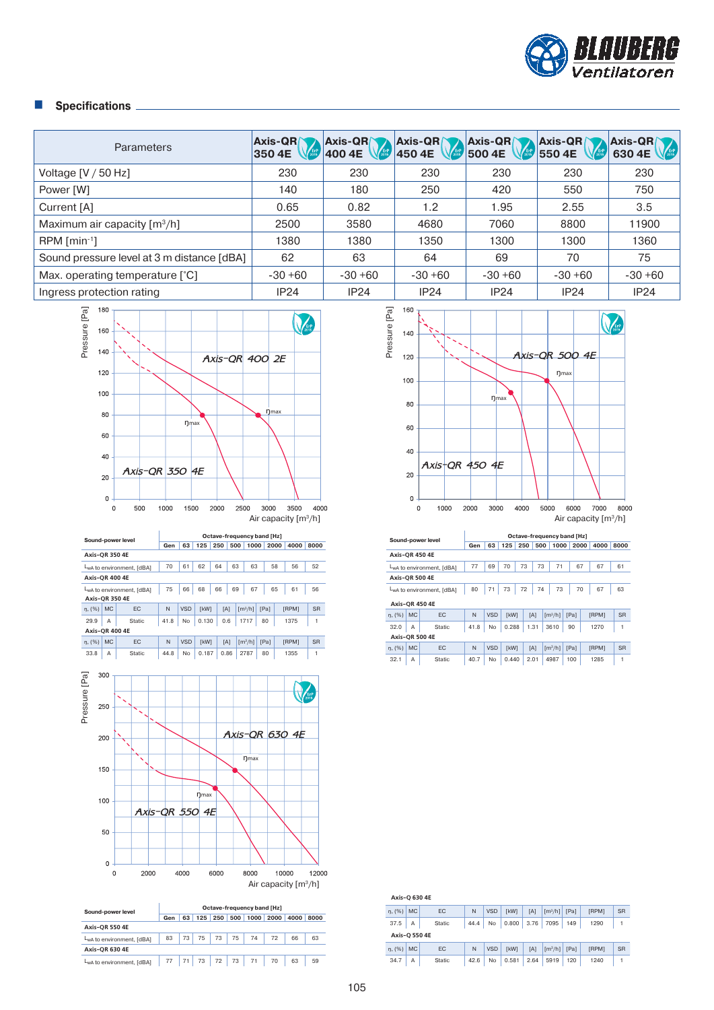

| Parameters                                 | <b>Axis-QRY</b><br>350 4E | <b>Axis-QR</b><br>$\sqrt{\frac{\text{E}r}{2015}}$<br>400 4E | <b>Axis-QRY</b><br>450 4E | Axis-QR<br>500 4E | $\overline{\mathsf{A}}$ xis-QR $\overline{\mathsf{A}}$<br>550 4E | Axis-QR<br>630 4E |
|--------------------------------------------|---------------------------|-------------------------------------------------------------|---------------------------|-------------------|------------------------------------------------------------------|-------------------|
| Voltage $[V / 50 Hz]$                      | 230                       | 230                                                         | 230                       | 230               | 230                                                              | 230               |
| Power [W]                                  | 140                       | 180                                                         | 250                       | 420               | 550                                                              | 750               |
| Current [A]                                | 0.65                      | 0.82                                                        | 1.2                       | 1.95              | 2.55                                                             | 3.5               |
| Maximum air capacity $[m^3/h]$             | 2500                      | 3580                                                        | 4680                      | 7060              | 8800                                                             | 11900             |
| $RPM$ [min <sup>-1</sup> ]                 | 1380                      | 1380                                                        | 1350                      | 1300              | 1300                                                             | 1360              |
| Sound pressure level at 3 m distance [dBA] | 62                        | 63                                                          | 64                        | 69                | 70                                                               | 75                |
| Max. operating temperature [°C]            | $-30+60$                  | $-30+60$                                                    | $-30+60$                  | $-30+60$          | $-30+60$                                                         | $-30+60$          |
| Ingress protection rating                  | IP24                      | <b>IP24</b>                                                 | <b>IP24</b>               | <b>IP24</b>       | IP24                                                             | IP24              |



|                           |                           | Sound-power level | Octave-frequency band [Hz]                   |              |             |     |          |                       |        |      |              |           |  |
|---------------------------|---------------------------|-------------------|----------------------------------------------|--------------|-------------|-----|----------|-----------------------|--------|------|--------------|-----------|--|
|                           |                           |                   | Gen                                          | 63           | 125         | 250 | 500      | 1000                  |        | 2000 | 4000         | 8000      |  |
| <b>Axis-OR 350 4E</b>     |                           |                   |                                              |              |             |     |          |                       |        |      |              |           |  |
|                           | LwA to environment. [dBA] |                   |                                              | 61           | 62          | 64  | 63       | 63                    |        | 58   | 56           | 52        |  |
| <b>Axis-OR 400 4E</b>     |                           |                   |                                              |              |             |     |          |                       |        |      |              |           |  |
| LwA to environment, [dBA] |                           |                   | 75                                           | 66           | 68          | 66  | 67<br>69 |                       |        | 65   | 61           | 56        |  |
| <b>Axis-OR 350 4E</b>     |                           |                   |                                              |              |             |     |          |                       |        |      |              |           |  |
| n, (%)                    | <b>MC</b>                 | EC                | N                                            | <b>VSD</b>   | <b>TkW1</b> |     | [A]      | $\lceil m^3/h \rceil$ | [Pa]   |      | <b>IRPM1</b> | <b>SR</b> |  |
| 29.9                      | A                         | Static            | 41.8                                         | <b>No</b>    | 0.130       | 0.6 |          | 1717                  | 80     |      | 1375         | 1         |  |
| <b>Axis-OR 400 4E</b>     |                           |                   |                                              |              |             |     |          |                       |        |      |              |           |  |
| n, (%)                    | <b>MC</b>                 | EC                | N                                            | <b>VSD</b>   | [kW]        |     | [A]      | $\lceil m^3/h \rceil$ | [Pa]   |      | <b>IRPM1</b> | <b>SR</b> |  |
| 000                       | $\sim$                    | $0.4 - 41 -$      | $\overline{A}$ $\overline{A}$ $\overline{D}$ | $\mathbf{A}$ | 0.107       |     | 0.00     | 0707                  | $\sim$ |      | 1055         | ٠         |  |



| Sound-power level         | Octave-frequency band [Hz] |     |     |     |     |      |      |      |      |  |
|---------------------------|----------------------------|-----|-----|-----|-----|------|------|------|------|--|
|                           | Gen                        | 63  | 125 | 250 | 500 | 1000 | 2000 | 4000 | 8000 |  |
| <b>Axis-OR 550 4E</b>     |                            |     |     |     |     |      |      |      |      |  |
| LwA to environment. [dBA] | 83                         | 73  | 75  | 73  | 75  | 74   | 72   | 66   | 63   |  |
| <b>Axis-OR 630 4E</b>     |                            |     |     |     |     |      |      |      |      |  |
| LwA to environment, [dBA] | 77                         | 71' | 73  | 72  | 73  | 71   | 70   | 63   | 59   |  |



|                       |                       | Sound-power level         |      | Octave-frequency band [Hz] |             |     |      |                       |      |      |              |           |  |
|-----------------------|-----------------------|---------------------------|------|----------------------------|-------------|-----|------|-----------------------|------|------|--------------|-----------|--|
|                       |                       |                           | Gen  | 63                         | 125         | 250 | 500  |                       | 1000 | 2000 | 4000         | 8000      |  |
| <b>Axis-OR 450 4E</b> |                       |                           |      |                            |             |     |      |                       |      |      |              |           |  |
|                       |                       | LwA to environment. [dBA] | 77   | 69                         | 70          | 73  | 73   |                       | 71   | 67   | 67           | 61        |  |
|                       | <b>Axis-OR 500 4E</b> |                           |      |                            |             |     |      |                       |      |      |              |           |  |
|                       |                       | LwA to environment, [dBA] | 80   | 71                         | 73          | 72  | 74   |                       | 73   | 70   | 67           | 63        |  |
| <b>Axis-OR 450 4E</b> |                       |                           |      |                            |             |     |      |                       |      |      |              |           |  |
| $n. (%)$ MC           |                       | EC                        | N    | <b>VSD</b>                 | <b>TkW1</b> |     | [A]  | $\lceil m^3/h \rceil$ |      | [Pa] | <b>IRPM1</b> | <b>SR</b> |  |
| 32.0                  | A                     | Static                    | 41.8 | No                         | 0.288       |     | 1.31 | 3610                  |      | 90   | 1270         | 1         |  |
| <b>Axis-OR 500 4E</b> |                       |                           |      |                            |             |     |      |                       |      |      |              |           |  |
| n. (%)                | <b>MC</b>             | EC                        | N    | <b>VSD</b>                 | [kW]        |     | [A]  | $\lceil m^3/h \rceil$ |      | [Pa] | [RPM]        | <b>SR</b> |  |
| 32.1                  | Α                     | Static                    | 40.7 | No                         | 0.440       |     | 2.01 | 4987                  |      | 100  | 1285         | 1         |  |

| Axis-Q 630 4E |           |               |      |            |             |      |                       |      |              |           |
|---------------|-----------|---------------|------|------------|-------------|------|-----------------------|------|--------------|-----------|
| n. (%)        | <b>MC</b> | EC            | N    | <b>VSD</b> | <b>TkW1</b> | [A]  | $\lceil m^3/h \rceil$ | [Pa] | <b>IRPM1</b> | <b>SR</b> |
| 37.5          | Α         | Static        | 44.4 | No         | 0.800       | 3.76 | 7095                  | 149  | 1290         |           |
| Axis-O 550 4E |           |               |      |            |             |      |                       |      |              |           |
| n. (%)        | <b>MC</b> | EC            | N    | <b>VSD</b> | <b>TkW1</b> | [A]  | $\lceil m^3/h \rceil$ | [Pa] | <b>IRPM1</b> | <b>SR</b> |
| 34.7          | Α         | <b>Static</b> | 42.6 | No         | 0.581       | 2.64 | 5919                  | 120  | 1240         |           |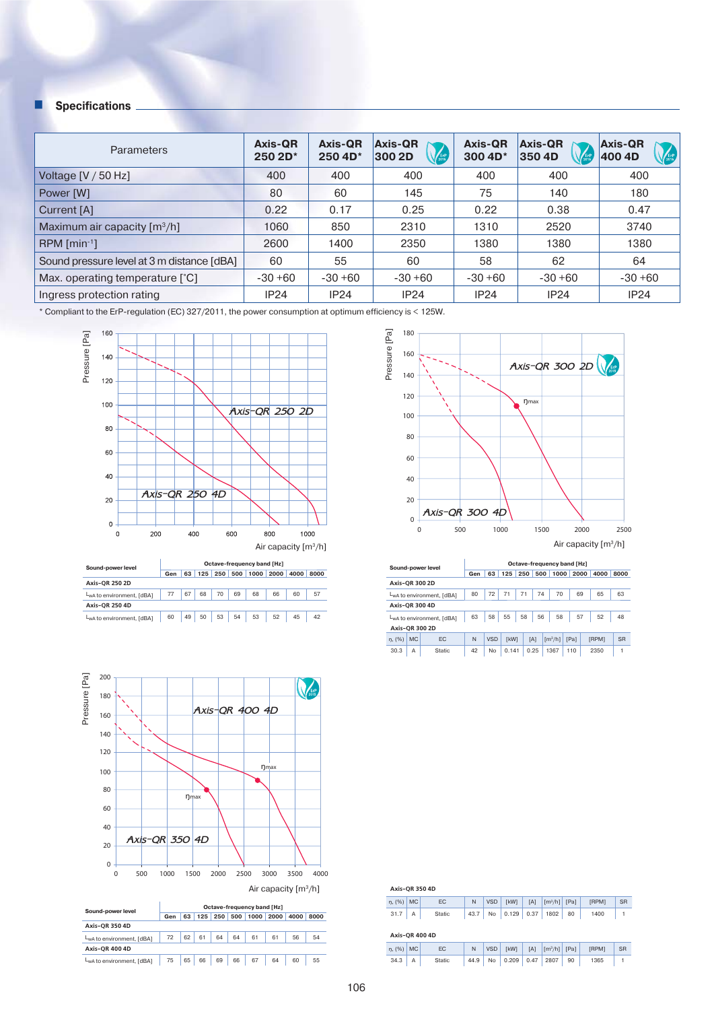| <b>Parameters</b>                          | Axis-QR<br>250 2D* | <b>Axis-QR</b><br>250 4D* | <b>Axis-QR</b><br><b>VERP</b><br>300 2D | <b>Axis-QR</b><br>300 4D <sup>*</sup> | <b>Axis-QR</b><br>350 4D | <b>Axis-QR</b><br><b>CERP</b><br>400 4D |
|--------------------------------------------|--------------------|---------------------------|-----------------------------------------|---------------------------------------|--------------------------|-----------------------------------------|
| Voltage $[V/50 Hz]$                        | 400                | 400                       | 400                                     | 400                                   | 400                      | 400                                     |
| Power [W]                                  | 80                 | 60                        | 145                                     | 75                                    | 140                      | 180                                     |
| Current [A]                                | 0.22               | 0.17                      | 0.25                                    | 0.22                                  | 0.38                     | 0.47                                    |
| Maximum air capacity $\lceil m^3/h \rceil$ | 1060               | 850                       | 2310                                    | 1310                                  | 2520                     | 3740                                    |
| $RPM$ [min <sup>-1</sup> ]                 | 2600               | 1400                      | 2350                                    | 1380                                  | 1380                     | 1380                                    |
| Sound pressure level at 3 m distance [dBA] | 60                 | 55                        | 60                                      | 58                                    | 62                       | 64                                      |
| Max. operating temperature [°C]            | $-30+60$           | $-30+60$                  | $-30+60$                                | $-30+60$                              | $-30+60$                 | $-30 + 60$                              |
| Ingress protection rating                  | <b>IP24</b>        | IP24                      | <b>IP24</b>                             | <b>IP24</b>                           | <b>IP24</b>              | IP24                                    |

\* Compliant to the ErP-regulation (EC) 327/2011, the power consumption at optimum efficiency is < 125W.



| Gen |    |    |    |     |    |    | 4000 | 8000              |
|-----|----|----|----|-----|----|----|------|-------------------|
|     |    |    |    |     |    |    |      |                   |
| 77  | 67 | 68 | 70 | 69  | 68 | 66 | 60   | 57                |
|     |    |    |    |     |    |    |      |                   |
| 60  | 49 | 50 | 53 | 54  | 53 | 52 | 45   | 42                |
|     |    |    | 63 | 125 |    |    |      | 250 500 1000 2000 |



LwA to environment, [dBA] 75 65 66 69 69 67 64 60 55



| Sound-power level         |           |               | Octave-frequency band [Hz] |            |             |      |      |                       |      |      |              |           |  |
|---------------------------|-----------|---------------|----------------------------|------------|-------------|------|------|-----------------------|------|------|--------------|-----------|--|
|                           | Gen       | 63            | 125                        | 250        | 500         | 1000 |      | 2000                  | 4000 | 8000 |              |           |  |
| <b>Axis-OR 300 2D</b>     |           |               |                            |            |             |      |      |                       |      |      |              |           |  |
| LwA to environment. [dBA] |           |               | 80                         | 72         | 71          | 71   | 74   | 70                    |      | 69   | 65           | 63        |  |
| <b>Axis-OR 300 4D</b>     |           |               |                            |            |             |      |      |                       |      |      |              |           |  |
| LwA to environment, [dBA] |           |               | 63                         | 58         | 55          | 58   | 56   | 58                    | 57   |      | 52           | 48        |  |
| <b>Axis-OR 300 2D</b>     |           |               |                            |            |             |      |      |                       |      |      |              |           |  |
| n, (%)                    | <b>MC</b> | EC            | N                          | <b>VSD</b> | <b>TkW1</b> |      | [A]  | $\lceil m^3/h \rceil$ | [Pa] |      | <b>FRPM1</b> | <b>SR</b> |  |
| 30.3                      | А         | <b>Static</b> | 42                         | No         | 0.141       |      | 0.25 | 1367                  | 110  |      | 2350         | 1         |  |

| Axis-QR 350 4D |    |        |              |            |               |            |                              |      |              |           |
|----------------|----|--------|--------------|------------|---------------|------------|------------------------------|------|--------------|-----------|
| $\eta$ , (%)   | MC | EC     | N            | <b>VSD</b> | [kW]          | [A]        | $\left[\frac{m^3}{h}\right]$ | [Pa] | [RPM]        | <b>SR</b> |
| 31.7           | Α  | Static | 43.7         | No         | 0.129         | 0.37       | 1802                         | 80   | 1400         |           |
| Axis-QR 400 4D |    |        |              |            |               |            |                              |      |              |           |
| $n(96)$ MC     |    | FC.    | $\mathbb{N}$ | VSD        | <b>FI-MAN</b> | <b>TA1</b> | $\left[\frac{m^3}{h}\right]$ | [Po] | <b>FRPM1</b> | <b>SR</b> |

|  | n, (%)   MC   EC   N   VSD   [kW]   [A]   [m <sup>3</sup> /h]   [Pa]   [RPM]   SR |  |  |  |  |
|--|-----------------------------------------------------------------------------------|--|--|--|--|
|  | 34.3   A   Static   44.9   No   0.209   0.47   2807   90   1365   1               |  |  |  |  |
|  |                                                                                   |  |  |  |  |